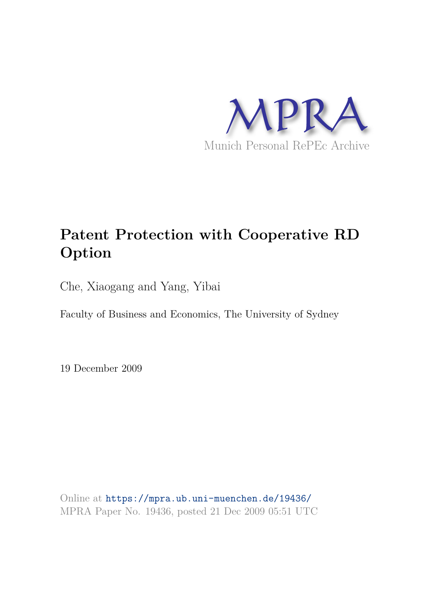

# **Patent Protection with Cooperative RD Option**

Che, Xiaogang and Yang, Yibai

Faculty of Business and Economics, The University of Sydney

19 December 2009

Online at https://mpra.ub.uni-muenchen.de/19436/ MPRA Paper No. 19436, posted 21 Dec 2009 05:51 UTC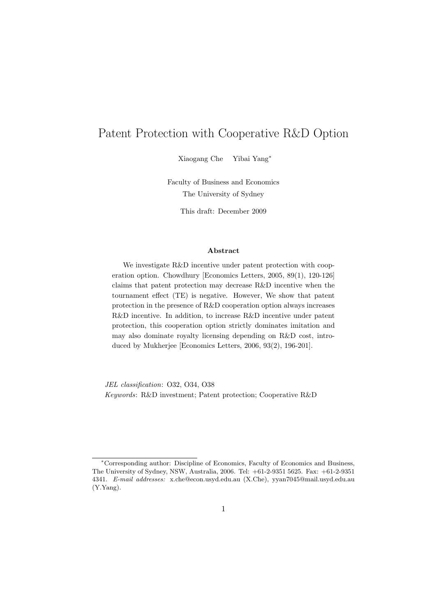# Patent Protection with Cooperative R&D Option

Xiaogang Che Yibai Yang<sup>∗</sup>

Faculty of Business and Economics The University of Sydney

This draft: December 2009

#### Abstract

We investigate R&D incentive under patent protection with cooperation option. Chowdhury [Economics Letters, 2005, 89(1), 120-126] claims that patent protection may decrease R&D incentive when the tournament effect (TE) is negative. However, We show that patent protection in the presence of R&D cooperation option always increases R&D incentive. In addition, to increase R&D incentive under patent protection, this cooperation option strictly dominates imitation and may also dominate royalty licensing depending on R&D cost, introduced by Mukherjee [Economics Letters, 2006, 93(2), 196-201].

JEL classification: O32, O34, O38 Keywords: R&D investment; Patent protection; Cooperative R&D

<sup>∗</sup>Corresponding author: Discipline of Economics, Faculty of Economics and Business, The University of Sydney, NSW, Australia, 2006. Tel: +61-2-9351 5625. Fax: +61-2-9351 4341. E-mail addresses: x.che@econ.usyd.edu.au (X.Che), yyan7045@mail.usyd.edu.au (Y.Yang).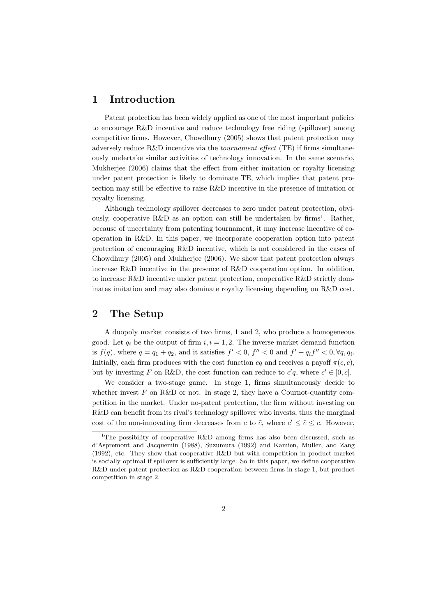### 1 Introduction

Patent protection has been widely applied as one of the most important policies to encourage R&D incentive and reduce technology free riding (spillover) among competitive firms. However, Chowdhury (2005) shows that patent protection may adversely reduce R&D incentive via the *tournament effect* (TE) if firms simultaneously undertake similar activities of technology innovation. In the same scenario, Mukherjee (2006) claims that the effect from either imitation or royalty licensing under patent protection is likely to dominate TE, which implies that patent protection may still be effective to raise R&D incentive in the presence of imitation or royalty licensing.

Although technology spillover decreases to zero under patent protection, obviously, cooperative R&D as an option can still be undertaken by firms<sup>1</sup>. Rather, because of uncertainty from patenting tournament, it may increase incentive of cooperation in R&D. In this paper, we incorporate cooperation option into patent protection of encouraging R&D incentive, which is not considered in the cases of Chowdhury (2005) and Mukherjee (2006). We show that patent protection always increase R&D incentive in the presence of R&D cooperation option. In addition, to increase R&D incentive under patent protection, cooperative R&D strictly dominates imitation and may also dominate royalty licensing depending on R&D cost.

### 2 The Setup

A duopoly market consists of two firms, 1 and 2, who produce a homogeneous good. Let  $q_i$  be the output of firm  $i, i = 1, 2$ . The inverse market demand function is  $f(q)$ , where  $q = q_1 + q_2$ , and it satisfies  $f' < 0$ ,  $f'' < 0$  and  $f' + q_i f'' < 0$ ,  $\forall q, q_i$ . Initially, each firm produces with the cost function  $cq$  and receives a payoff  $\pi(c, c)$ , but by investing F on R&D, the cost function can reduce to  $c'q$ , where  $c' \in [0, c]$ .

We consider a two-stage game. In stage 1, firms simultaneously decide to whether invest  $F$  on R&D or not. In stage 2, they have a Cournot-quantity competition in the market. Under no-patent protection, the firm without investing on R&D can benefit from its rival's technology spillover who invests, thus the marginal cost of the non-innovating firm decreases from c to  $\tilde{c}$ , where  $c' \leq \tilde{c} \leq c$ . However,

<sup>&</sup>lt;sup>1</sup>The possibility of cooperative R&D among firms has also been discussed, such as d'Aspremont and Jacquemin (1988), Suzumura (1992) and Kamien, Muller, and Zang (1992), etc. They show that cooperative R&D but with competition in product market is socially optimal if spillover is sufficiently large. So in this paper, we define cooperative R&D under patent protection as R&D cooperation between firms in stage 1, but product competition in stage 2.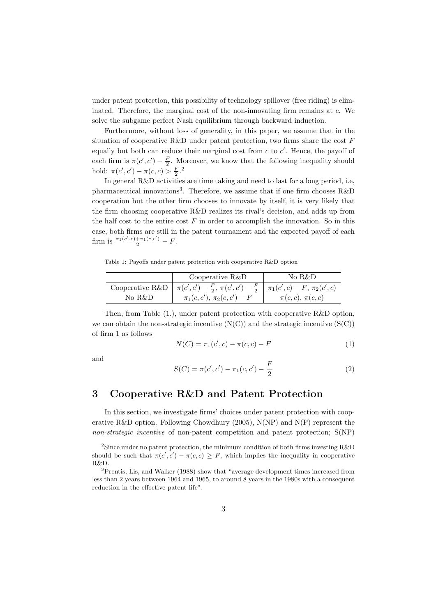under patent protection, this possibility of technology spillover (free riding) is eliminated. Therefore, the marginal cost of the non-innovating firm remains at c. We solve the subgame perfect Nash equilibrium through backward induction.

Furthermore, without loss of generality, in this paper, we assume that in the situation of cooperative R&D under patent protection, two firms share the cost  $F$ equally but both can reduce their marginal cost from  $c$  to  $c'$ . Hence, the payoff of each firm is  $\pi(c', c') - \frac{F}{2}$ . Moreover, we know that the following inequality should hold:  $\pi(c', c') - \pi(c, c) > \frac{F}{2}.^2$ 

In general R&D activities are time taking and need to last for a long period, i.e, pharmaceutical innovations<sup>3</sup>. Therefore, we assume that if one firm chooses R&D cooperation but the other firm chooses to innovate by itself, it is very likely that the firm choosing cooperative R&D realizes its rival's decision, and adds up from the half cost to the entire cost  $F$  in order to accomplish the innovation. So in this case, both firms are still in the patent tournament and the expected payoff of each firm is  $\frac{\pi_1(c',c) + \pi_1(c,c')}{2} - F$ .

Table 1: Payoffs under patent protection with cooperative R&D option

|        | Cooperative $R&D$                                                                                     | No R&D                |
|--------|-------------------------------------------------------------------------------------------------------|-----------------------|
|        | Cooperative R&D $\pi(c', c') - \frac{F}{2}, \pi(c', c') - \frac{F}{2} \pi_1(c', c) - F, \pi_2(c', c)$ |                       |
| No R&D | $\pi_1(c, c'), \pi_2(c, c') - F$                                                                      | $\pi(c,c),\,\pi(c,c)$ |

Then, from Table (1.), under patent protection with cooperative R&D option, we can obtain the non-strategic incentive  $(N(C))$  and the strategic incentive  $(S(C))$ of firm 1 as follows

$$
N(C) = \pi_1(c', c) - \pi(c, c) - F \tag{1}
$$

and

$$
S(C) = \pi(c', c') - \pi_1(c, c') - \frac{F}{2}
$$
 (2)

### 3 Cooperative R&D and Patent Protection

In this section, we investigate firms' choices under patent protection with cooperative R&D option. Following Chowdhury (2005),  $N(NP)$  and  $N(P)$  represent the non-strategic incentive of non-patent competition and patent protection; S(NP)

<sup>&</sup>lt;sup>2</sup>Since under no patent protection, the minimum condition of both firms investing R&D should be such that  $\pi(c', c') - \pi(c, c) \geq F$ , which implies the inequality in cooperative R&D.

<sup>3</sup>Prentis, Lis, and Walker (1988) show that "average development times increased from less than 2 years between 1964 and 1965, to around 8 years in the 1980s with a consequent reduction in the effective patent life".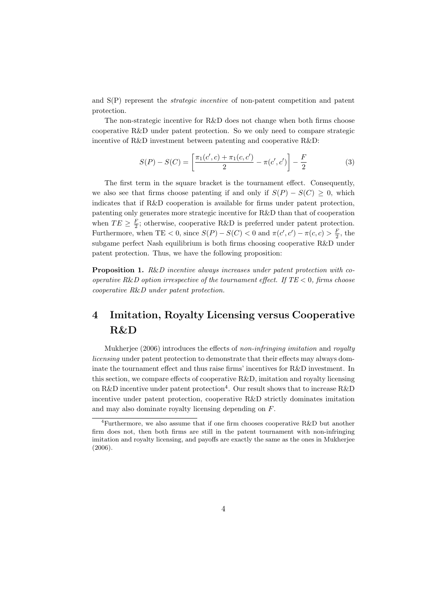and S(P) represent the strategic incentive of non-patent competition and patent protection.

The non-strategic incentive for R&D does not change when both firms choose cooperative R&D under patent protection. So we only need to compare strategic incentive of R&D investment between patenting and cooperative R&D:

$$
S(P) - S(C) = \left[ \frac{\pi_1(c', c) + \pi_1(c, c')}{2} - \pi(c', c') \right] - \frac{F}{2}
$$
 (3)

The first term in the square bracket is the tournament effect. Consequently, we also see that firms choose patenting if and only if  $S(P) - S(C) \geq 0$ , which indicates that if R&D cooperation is available for firms under patent protection, patenting only generates more strategic incentive for R&D than that of cooperation when  $TE \geq \frac{F}{2}$ ; otherwise, cooperative R&D is preferred under patent protection. Furthermore, when TE < 0, since  $S(P) - S(C) < 0$  and  $\pi(c', c') - \pi(c, c) > \frac{F}{2}$ , the subgame perfect Nash equilibrium is both firms choosing cooperative R&D under patent protection. Thus, we have the following proposition:

Proposition 1. R&D incentive always increases under patent protection with cooperative R&D option irrespective of the tournament effect. If  $TE < 0$ , firms choose cooperative R&D under patent protection.

# 4 Imitation, Royalty Licensing versus Cooperative R&D

Mukherjee (2006) introduces the effects of non-infringing imitation and royalty licensing under patent protection to demonstrate that their effects may always dominate the tournament effect and thus raise firms' incentives for R&D investment. In this section, we compare effects of cooperative R&D, imitation and royalty licensing on R&D incentive under patent protection<sup>4</sup>. Our result shows that to increase R&D incentive under patent protection, cooperative R&D strictly dominates imitation and may also dominate royalty licensing depending on F.

<sup>&</sup>lt;sup>4</sup>Furthermore, we also assume that if one firm chooses cooperative R&D but another firm does not, then both firms are still in the patent tournament with non-infringing imitation and royalty licensing, and payoffs are exactly the same as the ones in Mukherjee (2006).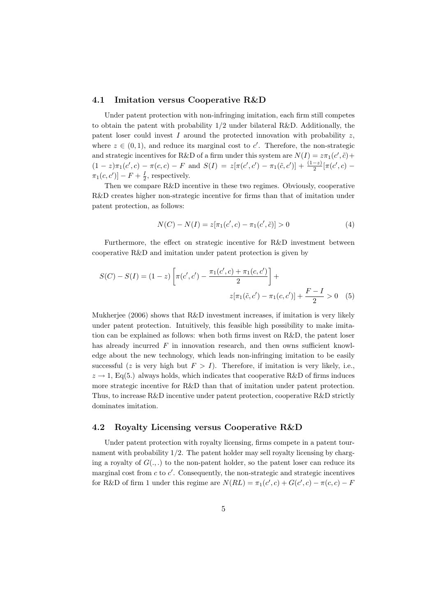#### 4.1 Imitation versus Cooperative R&D

Under patent protection with non-infringing imitation, each firm still competes to obtain the patent with probability 1/2 under bilateral R&D. Additionally, the patent loser could invest I around the protected innovation with probability  $z$ , where  $z \in (0,1)$ , and reduce its marginal cost to c'. Therefore, the non-strategic and strategic incentives for R&D of a firm under this system are  $N(I) = z\pi_1(c',\tilde{c}) +$  $(1-z)\pi_1(c',c) - \pi(c,c) - F$  and  $S(I) = z[\pi(c',c') - \pi_1(\tilde{c},c')] + \frac{(1-z)}{2}[\pi(c',c) \pi_1(c, c')$ ] –  $F + \frac{I}{2}$ , respectively.

Then we compare R&D incentive in these two regimes. Obviously, cooperative R&D creates higher non-strategic incentive for firms than that of imitation under patent protection, as follows:

$$
N(C) - N(I) = z[\pi_1(c', c) - \pi_1(c', \tilde{c})] > 0
$$
\n(4)

Furthermore, the effect on strategic incentive for R&D investment between cooperative R&D and imitation under patent protection is given by

$$
S(C) - S(I) = (1 - z) \left[ \pi(c', c') - \frac{\pi_1(c', c) + \pi_1(c, c')}{2} \right] +
$$
  

$$
z[\pi_1(\tilde{c}, c') - \pi_1(c, c')] + \frac{F - I}{2} > 0 \quad (5)
$$

Mukherjee (2006) shows that  $R&D$  investment increases, if imitation is very likely under patent protection. Intuitively, this feasible high possibility to make imitation can be explained as follows: when both firms invest on R&D, the patent loser has already incurred  $F$  in innovation research, and then owns sufficient knowledge about the new technology, which leads non-infringing imitation to be easily successful (z is very high but  $F > I$ ). Therefore, if imitation is very likely, i.e.,  $z \rightarrow 1$ , Eq(5.) always holds, which indicates that cooperative R&D of firms induces more strategic incentive for R&D than that of imitation under patent protection. Thus, to increase R&D incentive under patent protection, cooperative R&D strictly dominates imitation.

### 4.2 Royalty Licensing versus Cooperative R&D

Under patent protection with royalty licensing, firms compete in a patent tournament with probability 1/2. The patent holder may sell royalty licensing by charging a royalty of  $G(.,.)$  to the non-patent holder, so the patent loser can reduce its marginal cost from  $c$  to  $c'$ . Consequently, the non-strategic and strategic incentives for R&D of firm 1 under this regime are  $N(RL) = \pi_1(c', c) + G(c', c) - \pi(c, c) - F$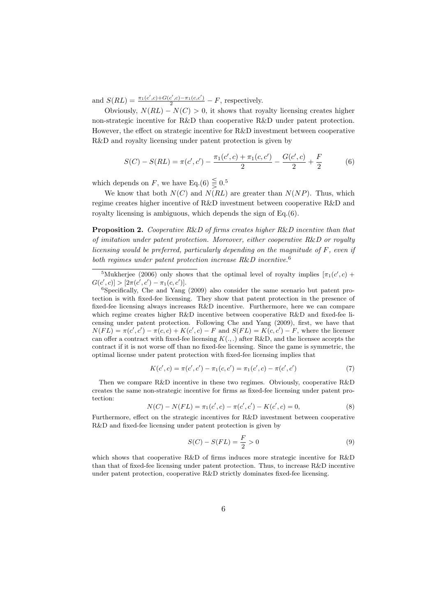and  $S(RL) = \frac{\pi_1(c',c) + G(c',c) - \pi_1(c,c')}{2} - F$ , respectively.

Obviously,  $N(RL) - N(C) > 0$ , it shows that royalty licensing creates higher non-strategic incentive for R&D than cooperative R&D under patent protection. However, the effect on strategic incentive for R&D investment between cooperative R&D and royalty licensing under patent protection is given by

$$
S(C) - S(RL) = \pi(c', c') - \frac{\pi_1(c', c) + \pi_1(c, c')}{2} - \frac{G(c', c)}{2} + \frac{F}{2}
$$
(6)

which depends on F, we have Eq.(6)  $\leq 0.5$ 

We know that both  $N(C)$  and  $N(RL)$  are greater than  $N(NP)$ . Thus, which regime creates higher incentive of R&D investment between cooperative R&D and royalty licensing is ambiguous, which depends the sign of Eq.(6).

Proposition 2. Cooperative R&D of firms creates higher R&D incentive than that of imitation under patent protection. Moreover, either cooperative  $R\&D$  or royalty licensing would be preferred, particularly depending on the magnitude of F, even if both regimes under patent protection increase R&D incentive.<sup>6</sup>

<sup>5</sup>Mukherjee (2006) only shows that the optimal level of royalty implies  $[\pi_1(c', c) +$  $G(c',c)] > [2\pi(c',c') - \pi_1(c,c')].$ 

<sup>6</sup>Specifically, Che and Yang (2009) also consider the same scenario but patent protection is with fixed-fee licensing. They show that patent protection in the presence of fixed-fee licensing always increases R&D incentive. Furthermore, here we can compare which regime creates higher R&D incentive between cooperative R&D and fixed-fee licensing under patent protection. Following Che and Yang (2009), first, we have that  $N(FL) = \pi(c', c') - \pi(c, c) + K(c', c) - F$  and  $S(FL) = K(c, c') - F$ , where the licenser can offer a contract with fixed-fee licensing  $K(.,.)$  after R&D, and the licensee accepts the contract if it is not worse off than no fixed-fee licensing. Since the game is symmetric, the optimal license under patent protection with fixed-fee licensing implies that

$$
K(c',c) = \pi(c',c') - \pi_1(c,c') = \pi_1(c',c) - \pi(c',c')
$$
\n(7)

Then we compare R&D incentive in these two regimes. Obviously, cooperative R&D creates the same non-strategic incentive for firms as fixed-fee licensing under patent protection:

$$
N(C) - N(FL) = \pi_1(c', c) - \pi(c', c') - K(c', c) = 0,
$$
\n(8)

Furthermore, effect on the strategic incentives for R&D investment between cooperative R&D and fixed-fee licensing under patent protection is given by

$$
S(C) - S(FL) = \frac{F}{2} > 0
$$
\n(9)

which shows that cooperative R&D of firms induces more strategic incentive for R&D than that of fixed-fee licensing under patent protection. Thus, to increase R&D incentive under patent protection, cooperative R&D strictly dominates fixed-fee licensing.